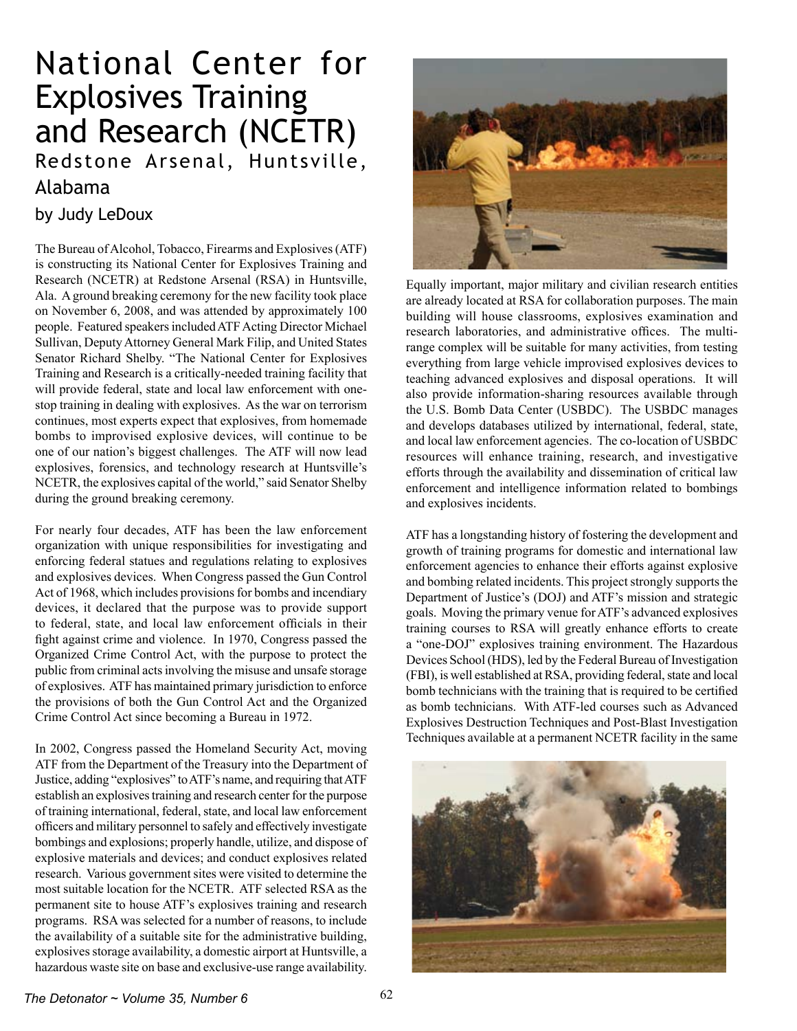## National Center for Explosives Training and Research (NCETR) Redstone Arsenal, Huntsville,

## Alabama

## by Judy LeDoux

The Bureau of Alcohol, Tobacco, Firearms and Explosives (ATF) is constructing its National Center for Explosives Training and Research (NCETR) at Redstone Arsenal (RSA) in Huntsville, Ala. Aground breaking ceremony for the new facility took place on November 6, 2008, and was attended by approximately 100 people. Featured speakers included ATF Acting Director Michael Sullivan, DeputyAttorney General Mark Filip, and United States Senator Richard Shelby. "The National Center for Explosives Training and Research is a critically-needed training facility that will provide federal, state and local law enforcement with onestop training in dealing with explosives. As the war on terrorism continues, most experts expect that explosives, from homemade bombs to improvised explosive devices, will continue to be one of our nation's biggest challenges. The ATF will now lead explosives, forensics, and technology research at Huntsville's NCETR, the explosives capital of the world," said Senator Shelby during the ground breaking ceremony.

For nearly four decades, ATF has been the law enforcement organization with unique responsibilities for investigating and enforcing federal statues and regulations relating to explosives and explosives devices. When Congress passed the Gun Control Act of 1968, which includes provisions for bombs and incendiary devices, it declared that the purpose was to provide support to federal, state, and local law enforcement officials in their fight against crime and violence. In 1970, Congress passed the Organized Crime Control Act, with the purpose to protect the public from criminal actsinvolving the misuse and unsafe storage of explosives. ATF has maintained primary jurisdiction to enforce the provisions of both the Gun Control Act and the Organized Crime Control Act since becoming a Bureau in 1972.

In 2002, Congress passed the Homeland Security Act, moving ATF from the Department of the Treasury into the Department of Justice, adding "explosives" to ATF's name, and requiring that ATF establish an explosives training and research center for the purpose of training international, federal, state, and local law enforcement officers and military personnel to safely and effectively investigate bombings and explosions; properly handle, utilize, and dispose of explosive materials and devices; and conduct explosives related research. Various government sites were visited to determine the most suitable location for the NCETR. ATF selected RSA as the permanent site to house ATF's explosives training and research programs. RSA was selected for a number of reasons, to include the availability of a suitable site for the administrative building, explosives storage availability, a domestic airport at Huntsville, a hazardous waste site on base and exclusive-use range availability.



Equally important, major military and civilian research entities are already located at RSA for collaboration purposes. The main building will house classrooms, explosives examination and research laboratories, and administrative offices. The multirange complex will be suitable for many activities, from testing everything from large vehicle improvised explosives devices to teaching advanced explosives and disposal operations. It will also provide information-sharing resources available through the U.S. Bomb Data Center (USBDC). The USBDC manages and develops databases utilized by international, federal, state, and local law enforcement agencies. The co-location of USBDC resources will enhance training, research, and investigative efforts through the availability and dissemination of critical law enforcement and intelligence information related to bombings and explosives incidents.

ATF has a longstanding history of fostering the development and growth of training programs for domestic and international law enforcement agencies to enhance their efforts against explosive and bombing related incidents. This project strongly supports the Department of Justice's (DOJ) and ATF's mission and strategic goals. Moving the primary venue forATF's advanced explosives training courses to RSA will greatly enhance efforts to create a "one-DOJ" explosives training environment. The Hazardous Devices School (HDS), led by the Federal Bureau of Investigation (FBI), is well established at RSA, providing federal, state and local bomb technicians with the training that is required to be certified as bomb technicians. With ATF-led courses such as Advanced Explosives Destruction Techniques and Post-Blast Investigation Techniques available at a permanent NCETR facility in the same